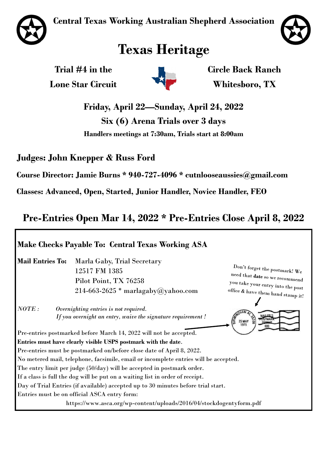**Central Texas Working Australian Shepherd Association**





# **Texas Heritage**

**Trial #4 in the Lone Star Circuit** 



**Circle Back Ranch Whitesboro, TX**

**Friday, April 22—Sunday, April 24, 2022**

**Six (6) Arena Trials over 3 days**

**Handlers meetings at 7:30am, Trials start at 8:00am**

**Judges: John Knepper & Russ Ford**

**Course Director: Jamie Burns \* 940-727-4096 \* cutnlooseaussies@gmail.com**

**Classes: Advanced, Open, Started, Junior Handler, Novice Handler, FEO**

### **Pre-Entries Open Mar 14, 2022 \* Pre-Entries Close April 8, 2022**

### **Make Checks Payable To: Central Texas Working ASA Mail Entries To:** Marla Gaby, Trial Secretary Don't forget the postmark!  $W_e$ 12517 FM 1385 need that date so we recommend Pilot Point, TX 76258 you take your entry into the post office & have them hand stamp it!  $214-663-2625$  \* marlagaby@yahoo.com *NOTE : Overnighting entries is not required. If you overnight an entry, waive the signature requirement !* 25 MAY<br>1978 Pre-entries postmarked before March 14, 2022 will not be accepted. **Entries must have clearly visible USPS postmark with the date**. Pre-entries must be postmarked on/before close date of April 8, 2022. No metered mail, telephone, facsimile, email or incomplete entries will be accepted. The entry limit per judge (50/day) will be accepted in postmark order. If a class is full the dog will be put on a waiting list in order of receipt. Day of Trial Entries (if available) accepted up to 30 minutes before trial start. Entries must be on official ASCA entry form: https://www.asca.org/wp-content/uploads/2016/04/stockdogentyform.pdf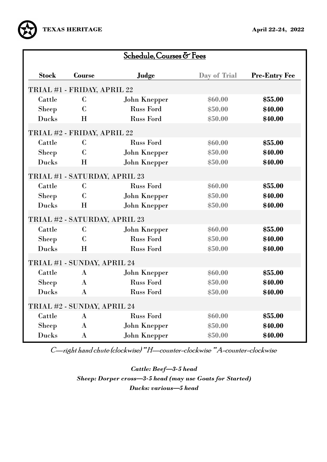

| Schedule, Courses & Fees |                                   |                     |              |                      |  |
|--------------------------|-----------------------------------|---------------------|--------------|----------------------|--|
| <b>Stock</b>             | <b>Course</b>                     | Judge               | Day of Trial | <b>Pre-Entry Fee</b> |  |
|                          | TRIAL #1 - FRIDAY, APRIL 22       |                     |              |                      |  |
| Cattle                   | $\mathbf C$                       | <b>John Knepper</b> | \$60.00      | \$55.00              |  |
| <b>Sheep</b>             | $\mathbf C$                       | <b>Russ Ford</b>    | \$50.00      | \$40.00              |  |
| Ducks                    | Н                                 | <b>Russ Ford</b>    | \$50.00      | \$40.00              |  |
|                          | TRIAL #2 - FRIDAY, APRIL 22       |                     |              |                      |  |
| Cattle                   | $\mathbf C$                       | <b>Russ Ford</b>    | \$60.00      | \$55.00              |  |
| <b>Sheep</b>             | $\mathsf{C}$                      | <b>John Knepper</b> | \$50.00      | \$40.00              |  |
| <b>Ducks</b>             | Н                                 | <b>John Knepper</b> | \$50.00      | \$40.00              |  |
|                          | $\alpha$ improperent $\mathbf{r}$ |                     |              |                      |  |

## TRIAL #1 - SATURDAY, APRIL 23

| Cattle                      | C            | <b>Russ Ford</b>              | \$60.00 | \$55.00 |  |  |
|-----------------------------|--------------|-------------------------------|---------|---------|--|--|
| <b>Sheep</b>                | $\mathbf C$  | <b>John Knepper</b>           | \$50.00 | \$40.00 |  |  |
| Ducks                       | H            | <b>John Knepper</b>           | \$50.00 | \$40.00 |  |  |
|                             |              | TRIAL #2 - SATURDAY, APRIL 23 |         |         |  |  |
| Cattle                      | $\mathbf C$  | <b>John Knepper</b>           | \$60.00 | \$55.00 |  |  |
| Sheep                       | $\mathbf C$  | <b>Russ Ford</b>              | \$50.00 | \$40.00 |  |  |
| Ducks                       | H            | <b>Russ Ford</b>              | \$50.00 | \$40.00 |  |  |
| TRIAL #1 - SUNDAY, APRIL 24 |              |                               |         |         |  |  |
| Cattle                      | $\bf{A}$     | <b>John Knepper</b>           | \$60.00 | \$55.00 |  |  |
| <b>Sheep</b>                | $\mathbf{A}$ | <b>Russ Ford</b>              | \$50.00 | \$40.00 |  |  |
| Ducks                       | $\bf{A}$     | <b>Russ Ford</b>              | \$50.00 | \$40.00 |  |  |
| TRIAL #2 - SUNDAY, APRIL 24 |              |                               |         |         |  |  |
| Cattle                      | $\bf{A}$     | <b>Russ Ford</b>              | \$60.00 | \$55.00 |  |  |
| <b>Sheep</b>                | $\bf{A}$     | <b>John Knepper</b>           | \$50.00 | \$40.00 |  |  |
| Ducks                       | $\bf{A}$     | <b>John Knepper</b>           | \$50.00 | \$40.00 |  |  |

C—right hand chute (clockwise) \*\* H—counter-clockwise \*\* A-counter-clockwise

*Cattle: Beef—3-5 head Sheep: Dorper cross—3-5 head (may use Goats for Started) Ducks: various—5 head*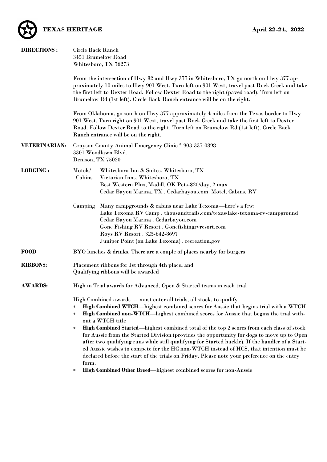

| <b>DIRECTIONS:</b>   | Circle Back Ranch<br>3451 Brumelow Road<br>Whitesboro, TX 76273                                                                                                                                                                                                                                                                                                                                                                                                                                                                                                                                                                                                                                                                                                                                                                                                                       |  |  |  |  |
|----------------------|---------------------------------------------------------------------------------------------------------------------------------------------------------------------------------------------------------------------------------------------------------------------------------------------------------------------------------------------------------------------------------------------------------------------------------------------------------------------------------------------------------------------------------------------------------------------------------------------------------------------------------------------------------------------------------------------------------------------------------------------------------------------------------------------------------------------------------------------------------------------------------------|--|--|--|--|
|                      | From the intersection of Hwy 82 and Hwy 377 in Whitesboro, TX go north on Hwy 377 ap-<br>proximately 10 miles to Hwy 901 West. Turn left on 901 West, travel past Rock Creek and take<br>the first left to Dexter Road. Follow Dexter Road to the right (paved road). Turn left on<br>Brumelow Rd (1st left). Circle Back Ranch entrance will be on the right.                                                                                                                                                                                                                                                                                                                                                                                                                                                                                                                        |  |  |  |  |
|                      | From Oklahoma, go south on Hwy 377 approximately 4 miles from the Texas border to Hwy<br>901 West. Turn right on 901 West, travel past Rock Creek and take the first left to Dexter<br>Road. Follow Dexter Road to the right. Turn left on Brumelow Rd (1st left). Circle Back<br>Ranch entrance will be on the right.                                                                                                                                                                                                                                                                                                                                                                                                                                                                                                                                                                |  |  |  |  |
| <b>VETERINARIAN:</b> | Grayson County Animal Emergency Clinic * 903-337-0898<br>3301 Woodlawn Blvd.<br>Denison, TX 75020                                                                                                                                                                                                                                                                                                                                                                                                                                                                                                                                                                                                                                                                                                                                                                                     |  |  |  |  |
| <b>LODGING:</b>      | Motels/<br>Whitesboro Inn & Suites, Whitesboro, TX<br>Cabins<br>Victorian Inns, Whitesboro, TX<br>Best Western Plus, Madill, OK Pets-\$20/day, 2 max<br>Cedar Bayou Marina, TX . Cedarbayou.com. Motel, Cabins, RV                                                                                                                                                                                                                                                                                                                                                                                                                                                                                                                                                                                                                                                                    |  |  |  |  |
|                      | Many campgrounds & cabins near Lake Texoma-here's a few:<br>Camping<br>Lake Texoma RV Camp. thousandtrails.com/texas/lake-texoma-rv-campground<br>Cedar Bayou Marina . Cedarbayou.com<br>Gone Fishing RV Resort . Gonefishingrvresort.com<br>Roys RV Resort . 325-642-8697<br>Juniper Point (on Lake Texoma) . recreation.gov                                                                                                                                                                                                                                                                                                                                                                                                                                                                                                                                                         |  |  |  |  |
| <b>FOOD</b>          | BYO lunches & drinks. There are a couple of places nearby for burgers                                                                                                                                                                                                                                                                                                                                                                                                                                                                                                                                                                                                                                                                                                                                                                                                                 |  |  |  |  |
| <b>RIBBONS:</b>      | Placement ribbons for 1st through 4th place, and<br>Qualifying ribbons will be awarded                                                                                                                                                                                                                                                                                                                                                                                                                                                                                                                                                                                                                                                                                                                                                                                                |  |  |  |  |
| <b>AWARDS:</b>       | High in Trial awards for Advanced, Open & Started teams in each trial                                                                                                                                                                                                                                                                                                                                                                                                                                                                                                                                                                                                                                                                                                                                                                                                                 |  |  |  |  |
|                      | High Combined awards  must enter all trials, all stock, to qualify<br>High Combined WTCH—highest combined scores for Aussie that begins trial with a WTCH<br>*<br>High Combined non-WTCH—highest combined scores for Aussie that begins the trial with-<br>$\ast$<br>out a WTCH title<br>High Combined Started—highest combined total of the top 2 scores from each class of stock<br>$\ast$<br>for Aussie from the Started Division (provides the opportunity for dogs to move up to Open<br>after two qualifying runs while still qualifying for Started buckle). If the handler of a Start-<br>ed Aussie wishes to compete for the HC non-WTCH instead of HCS, that intention must be<br>declared before the start of the trials on Friday. Please note your preference on the entry<br>form.<br><b>High Combined Other Breed—highest combined scores for non-Aussie</b><br>$\ast$ |  |  |  |  |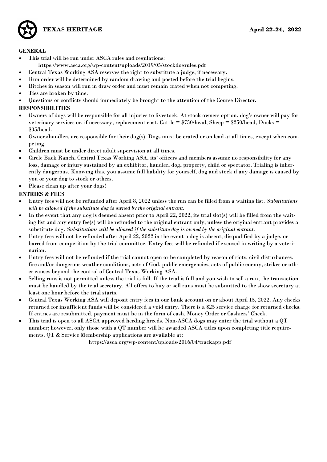

#### **GENERAL**

- This trial will be run under ASCA rules and regulations:
	- https://www.asca.org/wp-content/uploads/2019/05/stockdogrules.pdf
- Central Texas Working ASA reserves the right to substitute a judge, if necessary.
- Run order will be determined by random drawing and posted before the trial begins.
- Bitches in season will run in draw order and must remain crated when not competing.
- Ties are broken by time.
- Questions or conflicts should immediately be brought to the attention of the Course Director.

### **RESPONSIBILITIES**

- Owners of dogs will be responsible for all injuries to livestock. At stock owners option, dog's owner will pay for veterinary services or, if necessary, replacement cost. Cattle  $= $750/\text{head}$ , Sheep  $= $250/\text{head}$ , Ducks  $=$ \$35/head.
- Owners/handlers are responsible for their dog(s). Dogs must be crated or on lead at all times, except when competing.
- Children must be under direct adult supervision at all times.
- Circle Back Ranch, Central Texas Working ASA, its' officers and members assume no responsibility for any loss, damage or injury sustained by an exhibitor, handler, dog, property, child or spectator. Trialing is inherently dangerous. Knowing this, you assume full liability for yourself, dog and stock if any damage is caused by you or your dog to stock or others.
- Please clean up after your dogs!

### **ENTRIES & FEES**

- Entry fees will not be refunded after April 8, 2022 unless the run can be filled from a waiting list. *Substitutions will be allowed if the substitute dog is owned by the original entrant.*
- In the event that any dog is deemed absent prior to April 22, 2022, its trial slot(s) will be filled from the waiting list and any entry fee(s) will be refunded to the original entrant only, unless the original entrant provides a substitute dog. *Substitutions will be allowed if the substitute dog is owned by the original entrant.*
- Entry fees will not be refunded after April 22, 2022 in the event a dog is absent, disqualified by a judge, or barred from competition by the trial committee. Entry fees will be refunded if excused in writing by a veterinarian.
- Entry fees will not be refunded if the trial cannot open or be completed by reason of riots, civil disturbances, fire and/or dangerous weather conditions, acts of God, public emergencies, acts of public enemy, strikes or other causes beyond the control of Central Texas Working ASA.
- Selling runs is not permitted unless the trial is full. If the trial is full and you wish to sell a run, the transaction must be handled by the trial secretary. All offers to buy or sell runs must be submitted to the show secretary at least one hour before the trial starts.
- Central Texas Working ASA will deposit entry fees in our bank account on or about April 15, 2022. Any checks returned for insufficient funds will be considered a void entry. There is a \$25 service charge for returned checks. If entries are resubmitted, payment must be in the form of cash, Money Order or Cashiers' Check.
- This trial is open to all ASCA approved herding breeds. Non-ASCA dogs may enter the trial without a QT number; however, only those with a QT number will be awarded ASCA titles upon completing title requirements. QT & Service Membership applications are available at:

https://asca.org/wp-content/uploads/2016/04/trackapp.pdf